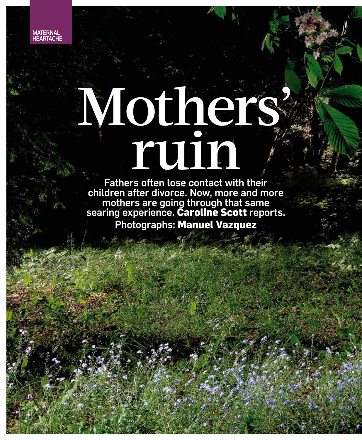72 The Sunday Times Magazine *12.2.2012*

## Mothers' ruin les centest with

Fathers often lose contact with their children after divorce. Now, more and more mothers are going through that same searing experience. **Caroline Scott** reports. Photographs: **Manuel Vazquez**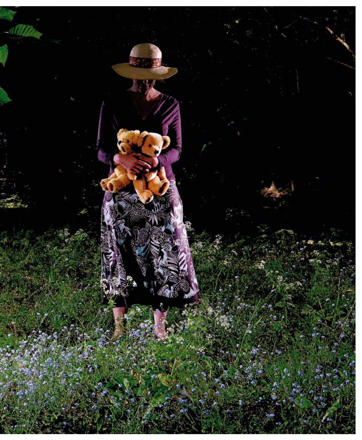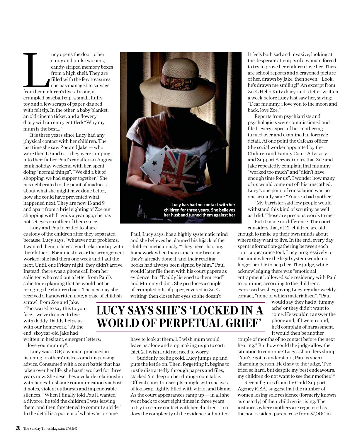ucy opens the door to<br>study and pulls two p<br>candy-striped memo<br>from a high shelf. The<br>filled with the few tree<br>she has managed to s<br>from her children's lives. In one, a<br>crumpled baseball can a small flu ucy opens the door to her study and pulls two pink, candy-striped memory boxes from a high shelf. They are filled with the few treasures she has managed to salvage crumpled baseball cap, a small, fluffy toy and a few scraps of paper, daubed with felt tip. In the other, a baby blanket, an old cinema ticket, and a flowery diary with an entry entitled: "Why my mum is the best..."

It is three years since Lucy had any physical contact with her children. The last time she saw Zoe and Jake — who were then 10 and  $6 -$  they were jumping into their father Paul's car after an August bank holiday weekend with her, spent doing "normal things". "We did a bit of shopping, we had supper together." She has deliberated to the point of madness about what she might have done better, how she could have prevented what happened next. They are now 13 and 9, and apart from a brief sighting of Zoe out shopping with friends a year ago, she has not set eyes on either of them since.

Lucy and Paul decided to share custody of the children after they separated because, Lucy says, "whatever our problems, I wanted them to have a good relationship with their father". For almost a year the arrangement worked: she had them one week and Paul the next. Until, one Friday night, they didn't arrive. Instead, there was a phone call from her solicitor, who read out a letter from Paul's solicitor explaining that he would not be bringing the children back. The next day she received a handwritten note, a page of childish

scrawl, from Zoe and Jake. "Too scared to say this to your face... we've decided to live with daddy. Daddy helps us with our homework." At the end, six-year-old Jake had written in hesitant, emergent letters:

"i love you mummy".

Lucy was a GP, a woman practised in listening to others' distress and dispensing advice. Consumed with a court battle that has taken over her life, she hasn't worked for three years now. She describes a volatile relationship with her ex-husband: communication via Postit notes, violent outbursts and impenetrable silences. "When I finally told Paul I wanted a divorce, he told the children I was leaving them, and then threatened to commit suicide." In the detail is a portent of what was to come.



Paul, Lucy says, has a highly systematic mind and she believes he planned his hijack of the children meticulously. "They never had any homework when they came to me because they'd already done it, and their reading books had always been signed by him." Paul would later file them with his court papers as evidence that "Daddy listened to them read" and Mummy didn't. She produces a couple of crumpled bits of paper, covered in Zoe's writing, then closes her eyes so she doesn't

the desperate attempts of a woman forced to try to prove her children love her. There are school reports and a crayoned picture of her, drawn by Jake, then seven: "Look, he's drawn me smiling!" An excerpt from Zoe's Hello Kitty diary, and a letter written a week before Lucy last saw her, saying: "Dear mummy, i love you to the moon and

It feels both sad and invasive, looking at

back, love Zoe." Reports from psychiatrists and psychologists were commissioned and filed, every aspect of her mothering turned over and examined in forensic detail. At one point the Cafcass officer (the social worker appointed by the Children and Family Court Advisory and Support Service) notes that Zoe and Jake repeatedly complain that mummy "worked too much" and "didn't have enough time for us". I wonder how many of us would come out of this unscathed. Lucy's one point of consolation was no one actually said: "You're a bad mother."

"My barrister said few people would withstand this kind of scrutiny as well as I did. Those are precious words to me."

But it made no difference. The court considers that, at 12, children are old

enough to make up their own minds about where they want to live. In the end, every day spent information-gathering between each court appearance took Lucy progressively to the point where the legal system would no longer be able to help her. The judge, while acknowledging there was "emotional entrapment", allowed sole residency with Paul to continue, according to the children's expressed wishes, giving Lucy regular weekly contact, "none of which materialised". "Paul

would say they had a 'tummy ache' or they didn't want to come. He wouldn't answer the phone and, if I went round, he'd complain of harassment. It would then be another

have to look at them: 1. I wish mum would leave us alone and stop making us go to cort. (sic). 2. I wish I did not need to worry.

**lucy says she's 'locked in a** 

**world of perpetual grief'**

Suddenly, feeling cold, Lucy jumps up and puts the kettle on. Then, forgetting it, begins to rustle distractedly through papers and files, stacked 6in deep on her dining-room table. Official court transcripts mingle with sheaves of foolscap, tightly filled with vitriol and blame. As the court appearances ramp  $up$  — in all she went back to court eight times in three years to try to secure contact with her children — so does the complexity of the evidence submitted.

couple of months of no contact before the next hearing." But how could the judge allow the situation to continue? Lucy's shoulders slump. "You've got to understand, Paul is such a charming person. He'd say to the judge, 'I've tried so hard, but despite my best endeavours, my children do not want to see their mother.'"

Recent figures from the Child Support Agency (CSA) suggest that the number of women losing sole residence (formerly known as custody) of their children is rising. The instances where mothers are registered as the non-resident parent rose from 57,000 in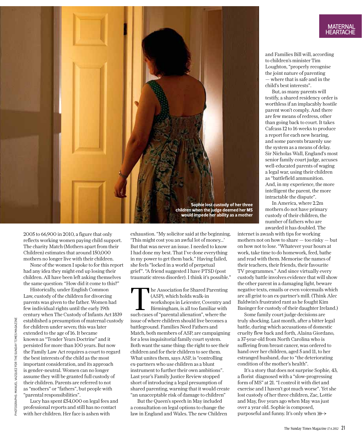

2005 to 66,900 in 2010, a figure that only reflects working women paying child support. The charity Match (Mothers apart from their Children) estimates that around 150,000 mothers no longer live with their children.

None of the women I spoke to for this report had any idea they might end up losing their children. All have been left asking themselves the same question: "How did it come to this?"

Historically, under English Common Law, custody of the children for divorcing parents was given to the father. Women had few individual rights until the early 19th century when The Custody of Infants Act 1839 established a presumption of maternal custody for children under seven; this was later extended to the age of 16. It became known as "Tender Years Doctrine" and it persisted for more than 100 years. But now the Family Law Act requires a court to regard the best interests of the child as the most important consideration, and its approach is gender-neutral. Women can no longer assume they will be granted full custody of their children. Parents are referred to not as "mothers" or "fathers", but people with "parental responsibilities".

Lucy has spent £54,000 on legal fees and professional reports and still has no contact with her children. Her face is ashen with

exhaustion. "My solicitor said at the beginning, 'This might cost you an awful lot of money...' But that was never an issue. I needed to know I had done my best. That I've done everything in my power to get them back." Having failed, she feels "locked in a world of perpetual grief". "A friend suggested I have PTSD (post traumatic stress disorder). I think it's possible."

The Association for Shared Parenting (ASP), which holds walk-in workshops in Leicester, Coventry and Birmingham, is all too familiar with such cases of "parental alienation", where the (ASP), which holds walk-in workshops in Leicester, Coventry and Birmingham, is all too familiar with issue of where children should live becomes a battleground. Families Need Fathers and Match, both members of ASP, are campaigning for a less inquisitorial family court system. Both want the same thing: the right to see their children and for their children to see them. What unites them, says ASP, is "controlling ex-partners who use children as a blunt instrument to further their own ambitions". Last year's Family Justice Review stopped short of introducing a legal presumption of shared parenting, warning that it would create "an unacceptable risk of damage to children"

But the Queen's speech in May included a consultation on legal options to change the law in England and Wales. The new Children

and Families Bill will, according to children's minister Tim Loughton, "properly recognise the joint nature of parenting — where that is safe and in the child's best interests".

But, as many parents will testify, a shared residency order is worthless if an implacably hostile parent won't comply. And there are few means of redress, other than going back to court. It takes Cafcass 12 to 16 weeks to produce a report for each new hearing, and some parents brazenly use the system as a means of delay. Sir Nicholas Wall, England's most senior family court judge, accuses well-educated parents of waging a legal war, using their children as "battlefield ammunition. And, in my experience, the more intelligent the parent, the more intractable the dispute".

In America, where 2.2m mothers do not have primary custody of their children, the number of fathers who are awarded it has doubled. The

internet is awash with tips for working mothers not on how to share  $-$  too risky  $-$  but on how not to lose. "Whatever your hours at work, take time to do homework, feed, bathe and read with them. Memorise the names of their teachers, their friends, their favourite TV programmes." And since virtually every custody battle involves evidence that will show the other parent in a damaging light, beware negative texts, emails or even voicemails which are all grist to an ex-partner's mill. (Think Alec Baldwin's frustrated rant as he fought Kim Basinger for custody of their daughter Ireland.)

Some family court judge decisions are truly shocking. Last month, after a bitter legal battle, during which accusations of domestic cruelty flew back and forth, Alaina Giordano, a 37-year-old from North Carolina who is suffering from breast cancer, was ordered to hand over her children, aged 5 and 11, to her estranged husband, due to "the deteriorating condition of the mother's health".

It's a story that does not surprise Sophie, 43, a florist diagnosed with a "slow-progressing form of MS" at 21. "I control it with diet and exercise and I haven't got much worse". Yet she lost custody of her three children, Zac, Lottie and May, five years ago when May was just over a year old. Sophie is composed, purposeful and funny. It's only when  $\ggg \gg$